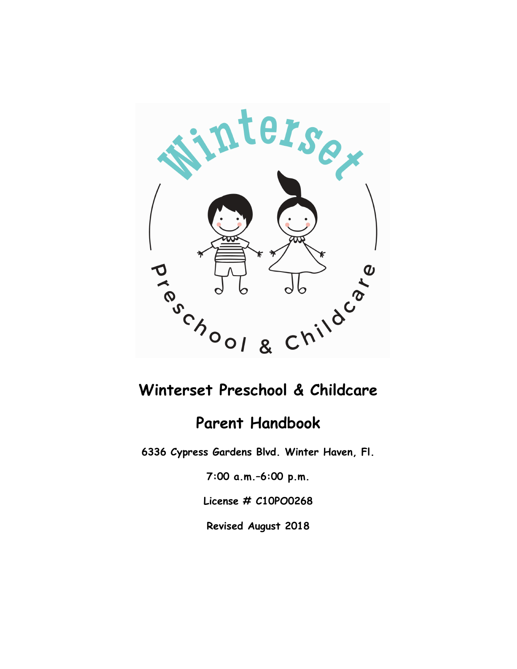

# Winterset Preschool & Childcare

## Parent Handbook

6336 Cypress Gardens Blvd. Winter Haven, Fl.

7:00 a.m.–6:00 p.m.

License # C10PO0268

Revised August 2018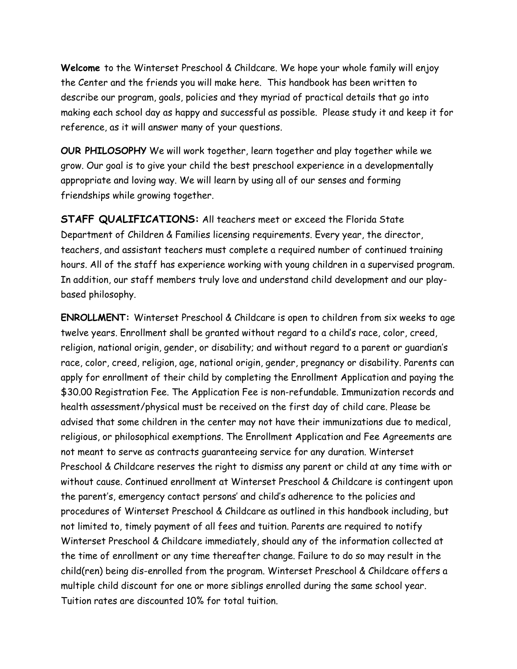Welcome to the Winterset Preschool & Childcare. We hope your whole family will enjoy the Center and the friends you will make here. This handbook has been written to describe our program, goals, policies and they myriad of practical details that go into making each school day as happy and successful as possible. Please study it and keep it for reference, as it will answer many of your questions.

OUR PHILOSOPHY We will work together, learn together and play together while we grow. Our goal is to give your child the best preschool experience in a developmentally appropriate and loving way. We will learn by using all of our senses and forming friendships while growing together.

STAFF QUALIFICATIONS: All teachers meet or exceed the Florida State Department of Children & Families licensing requirements. Every year, the director, teachers, and assistant teachers must complete a required number of continued training hours. All of the staff has experience working with young children in a supervised program. In addition, our staff members truly love and understand child development and our playbased philosophy.

ENROLLMENT: Winterset Preschool & Childcare is open to children from six weeks to age twelve years. Enrollment shall be granted without regard to a child's race, color, creed, religion, national origin, gender, or disability; and without regard to a parent or guardian's race, color, creed, religion, age, national origin, gender, pregnancy or disability. Parents can apply for enrollment of their child by completing the Enrollment Application and paying the \$30.00 Registration Fee. The Application Fee is non-refundable. Immunization records and health assessment/physical must be received on the first day of child care. Please be advised that some children in the center may not have their immunizations due to medical, religious, or philosophical exemptions. The Enrollment Application and Fee Agreements are not meant to serve as contracts guaranteeing service for any duration. Winterset Preschool & Childcare reserves the right to dismiss any parent or child at any time with or without cause. Continued enrollment at Winterset Preschool & Childcare is contingent upon the parent's, emergency contact persons' and child's adherence to the policies and procedures of Winterset Preschool & Childcare as outlined in this handbook including, but not limited to, timely payment of all fees and tuition. Parents are required to notify Winterset Preschool & Childcare immediately, should any of the information collected at the time of enrollment or any time thereafter change. Failure to do so may result in the child(ren) being dis-enrolled from the program. Winterset Preschool & Childcare offers a multiple child discount for one or more siblings enrolled during the same school year. Tuition rates are discounted 10% for total tuition.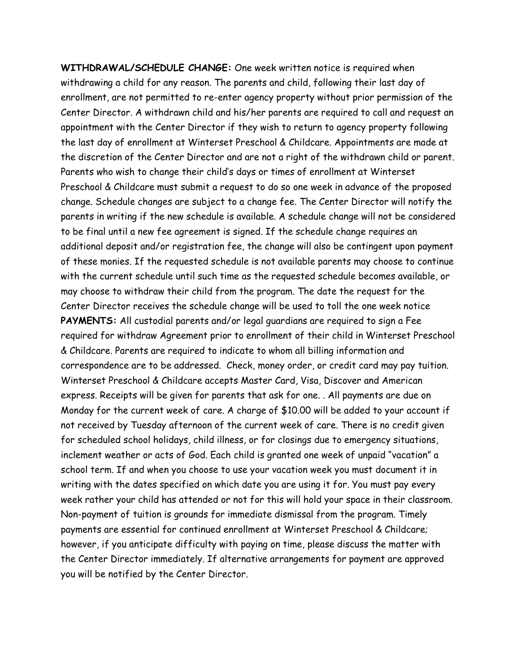WITHDRAWAL/SCHEDULE CHANGE: One week written notice is required when withdrawing a child for any reason. The parents and child, following their last day of enrollment, are not permitted to re-enter agency property without prior permission of the Center Director. A withdrawn child and his/her parents are required to call and request an appointment with the Center Director if they wish to return to agency property following the last day of enrollment at Winterset Preschool & Childcare. Appointments are made at the discretion of the Center Director and are not a right of the withdrawn child or parent. Parents who wish to change their child's days or times of enrollment at Winterset Preschool & Childcare must submit a request to do so one week in advance of the proposed change. Schedule changes are subject to a change fee. The Center Director will notify the parents in writing if the new schedule is available. A schedule change will not be considered to be final until a new fee agreement is signed. If the schedule change requires an additional deposit and/or registration fee, the change will also be contingent upon payment of these monies. If the requested schedule is not available parents may choose to continue with the current schedule until such time as the requested schedule becomes available, or may choose to withdraw their child from the program. The date the request for the Center Director receives the schedule change will be used to toll the one week notice PAYMENTS: All custodial parents and/or legal guardians are required to sign a Fee required for withdraw Agreement prior to enrollment of their child in Winterset Preschool & Childcare. Parents are required to indicate to whom all billing information and correspondence are to be addressed. Check, money order, or credit card may pay tuition. Winterset Preschool & Childcare accepts Master Card, Visa, Discover and American express. Receipts will be given for parents that ask for one. . All payments are due on Monday for the current week of care. A charge of \$10.00 will be added to your account if not received by Tuesday afternoon of the current week of care. There is no credit given for scheduled school holidays, child illness, or for closings due to emergency situations, inclement weather or acts of God. Each child is granted one week of unpaid "vacation" a school term. If and when you choose to use your vacation week you must document it in writing with the dates specified on which date you are using it for. You must pay every week rather your child has attended or not for this will hold your space in their classroom. Non-payment of tuition is grounds for immediate dismissal from the program. Timely payments are essential for continued enrollment at Winterset Preschool & Childcare; however, if you anticipate difficulty with paying on time, please discuss the matter with the Center Director immediately. If alternative arrangements for payment are approved you will be notified by the Center Director.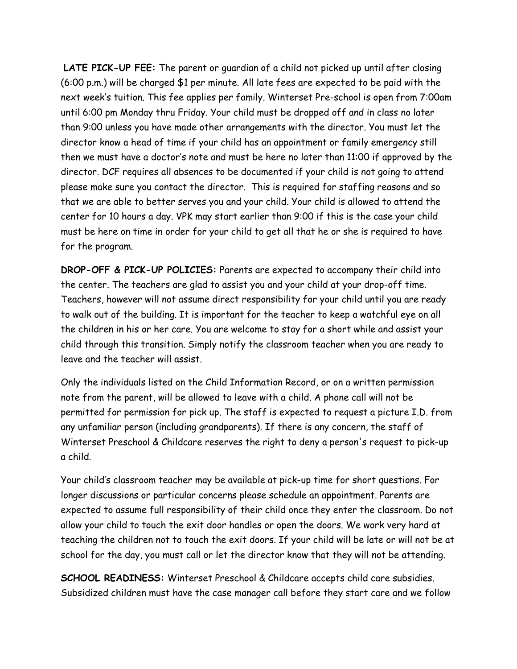LATE PICK-UP FEE: The parent or quardian of a child not picked up until after closing (6:00 p.m.) will be charged \$1 per minute. All late fees are expected to be paid with the next week's tuition. This fee applies per family. Winterset Pre-school is open from 7:00am until 6:00 pm Monday thru Friday. Your child must be dropped off and in class no later than 9:00 unless you have made other arrangements with the director. You must let the director know a head of time if your child has an appointment or family emergency still then we must have a doctor's note and must be here no later than 11:00 if approved by the director. DCF requires all absences to be documented if your child is not going to attend please make sure you contact the director. This is required for staffing reasons and so that we are able to better serves you and your child. Your child is allowed to attend the center for 10 hours a day. VPK may start earlier than 9:00 if this is the case your child must be here on time in order for your child to get all that he or she is required to have for the program.

DROP-OFF & PICK-UP POLICIES: Parents are expected to accompany their child into the center. The teachers are glad to assist you and your child at your drop-off time. Teachers, however will not assume direct responsibility for your child until you are ready to walk out of the building. It is important for the teacher to keep a watchful eye on all the children in his or her care. You are welcome to stay for a short while and assist your child through this transition. Simply notify the classroom teacher when you are ready to leave and the teacher will assist.

Only the individuals listed on the Child Information Record, or on a written permission note from the parent, will be allowed to leave with a child. A phone call will not be permitted for permission for pick up. The staff is expected to request a picture I.D. from any unfamiliar person (including grandparents). If there is any concern, the staff of Winterset Preschool & Childcare reserves the right to deny a person's request to pick-up a child.

Your child's classroom teacher may be available at pick-up time for short questions. For longer discussions or particular concerns please schedule an appointment. Parents are expected to assume full responsibility of their child once they enter the classroom. Do not allow your child to touch the exit door handles or open the doors. We work very hard at teaching the children not to touch the exit doors. If your child will be late or will not be at school for the day, you must call or let the director know that they will not be attending.

SCHOOL READINESS: Winterset Preschool & Childcare accepts child care subsidies. Subsidized children must have the case manager call before they start care and we follow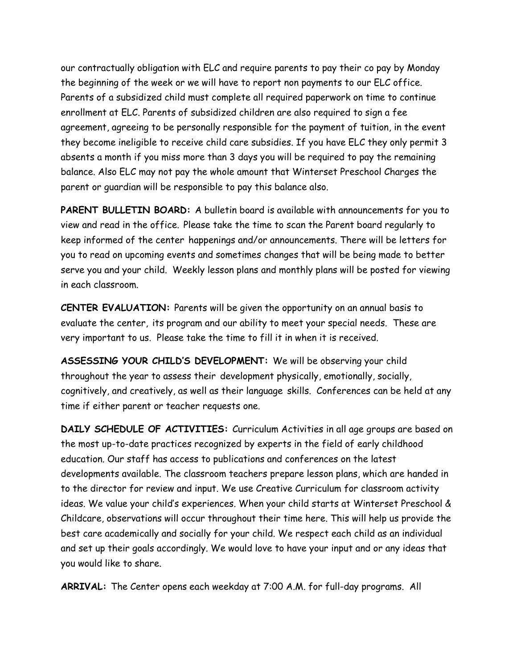our contractually obligation with ELC and require parents to pay their co pay by Monday the beginning of the week or we will have to report non payments to our ELC office. Parents of a subsidized child must complete all required paperwork on time to continue enrollment at ELC. Parents of subsidized children are also required to sign a fee agreement, agreeing to be personally responsible for the payment of tuition, in the event they become ineligible to receive child care subsidies. If you have ELC they only permit 3 absents a month if you miss more than 3 days you will be required to pay the remaining balance. Also ELC may not pay the whole amount that Winterset Preschool Charges the parent or guardian will be responsible to pay this balance also.

PARENT BULLETIN BOARD: A bulletin board is available with announcements for you to view and read in the office. Please take the time to scan the Parent board regularly to keep informed of the center happenings and/or announcements. There will be letters for you to read on upcoming events and sometimes changes that will be being made to better serve you and your child. Weekly lesson plans and monthly plans will be posted for viewing in each classroom.

CENTER EVALUATION: Parents will be given the opportunity on an annual basis to evaluate the center, its program and our ability to meet your special needs. These are very important to us. Please take the time to fill it in when it is received.

ASSESSING YOUR CHILD'S DEVELOPMENT: We will be observing your child throughout the year to assess their development physically, emotionally, socially, cognitively, and creatively, as well as their language skills. Conferences can be held at any time if either parent or teacher requests one.

DAILY SCHEDULE OF ACTIVITIES: Curriculum Activities in all age groups are based on the most up-to-date practices recognized by experts in the field of early childhood education. Our staff has access to publications and conferences on the latest developments available. The classroom teachers prepare lesson plans, which are handed in to the director for review and input. We use Creative Curriculum for classroom activity ideas. We value your child's experiences. When your child starts at Winterset Preschool & Childcare, observations will occur throughout their time here. This will help us provide the best care academically and socially for your child. We respect each child as an individual and set up their goals accordingly. We would love to have your input and or any ideas that you would like to share.

ARRIVAL: The Center opens each weekday at 7:00 A.M. for full-day programs. All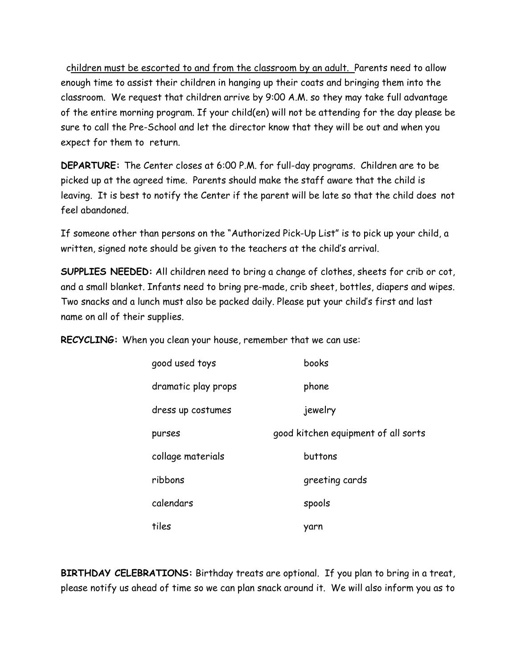children must be escorted to and from the classroom by an adult. Parents need to allow enough time to assist their children in hanging up their coats and bringing them into the classroom. We request that children arrive by 9:00 A.M. so they may take full advantage of the entire morning program. If your child(en) will not be attending for the day please be sure to call the Pre-School and let the director know that they will be out and when you expect for them to return.

DEPARTURE: The Center closes at 6:00 P.M. for full-day programs. Children are to be picked up at the agreed time. Parents should make the staff aware that the child is leaving. It is best to notify the Center if the parent will be late so that the child does not feel abandoned.

If someone other than persons on the "Authorized Pick-Up List" is to pick up your child, a written, signed note should be given to the teachers at the child's arrival.

SUPPLIES NEEDED: All children need to bring a change of clothes, sheets for crib or cot, and a small blanket. Infants need to bring pre-made, crib sheet, bottles, diapers and wipes. Two snacks and a lunch must also be packed daily. Please put your child's first and last name on all of their supplies.

RECYCLING: When you clean your house, remember that we can use:

| good used toys      | books                               |
|---------------------|-------------------------------------|
| dramatic play props | phone                               |
| dress up costumes   | jewelry                             |
| purses              | good kitchen equipment of all sorts |
| collage materials   | buttons                             |
| ribbons             | greeting cards                      |
| calendars           | spools                              |
| tiles               | yarn                                |

BIRTHDAY CELEBRATIONS: Birthday treats are optional. If you plan to bring in a treat, please notify us ahead of time so we can plan snack around it. We will also inform you as to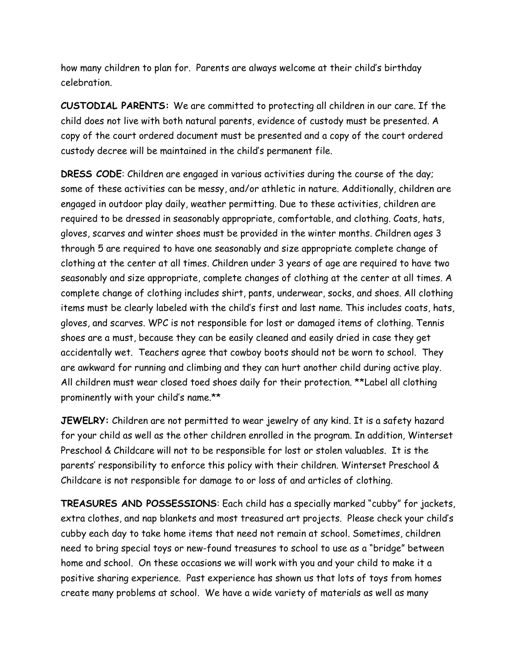how many children to plan for. Parents are always welcome at their child's birthday celebration.

CUSTODIAL PARENTS: We are committed to protecting all children in our care. If the child does not live with both natural parents, evidence of custody must be presented. A copy of the court ordered document must be presented and a copy of the court ordered custody decree will be maintained in the child's permanent file.

DRESS CODE: Children are engaged in various activities during the course of the day; some of these activities can be messy, and/or athletic in nature. Additionally, children are engaged in outdoor play daily, weather permitting. Due to these activities, children are required to be dressed in seasonably appropriate, comfortable, and clothing. Coats, hats, gloves, scarves and winter shoes must be provided in the winter months. Children ages 3 through 5 are required to have one seasonably and size appropriate complete change of clothing at the center at all times. Children under 3 years of age are required to have two seasonably and size appropriate, complete changes of clothing at the center at all times. A complete change of clothing includes shirt, pants, underwear, socks, and shoes. All clothing items must be clearly labeled with the child's first and last name. This includes coats, hats, gloves, and scarves. WPC is not responsible for lost or damaged items of clothing. Tennis shoes are a must, because they can be easily cleaned and easily dried in case they get accidentally wet. Teachers agree that cowboy boots should not be worn to school. They are awkward for running and climbing and they can hurt another child during active play. All children must wear closed toed shoes daily for their protection. \*\*Label all clothing prominently with your child's name.\*\*

JEWELRY: Children are not permitted to wear jewelry of any kind. It is a safety hazard for your child as well as the other children enrolled in the program. In addition, Winterset Preschool & Childcare will not to be responsible for lost or stolen valuables. It is the parents' responsibility to enforce this policy with their children. Winterset Preschool & Childcare is not responsible for damage to or loss of and articles of clothing.

TREASURES AND POSSESSIONS: Each child has a specially marked "cubby" for jackets, extra clothes, and nap blankets and most treasured art projects. Please check your child's cubby each day to take home items that need not remain at school. Sometimes, children need to bring special toys or new-found treasures to school to use as a "bridge" between home and school. On these occasions we will work with you and your child to make it a positive sharing experience. Past experience has shown us that lots of toys from homes create many problems at school. We have a wide variety of materials as well as many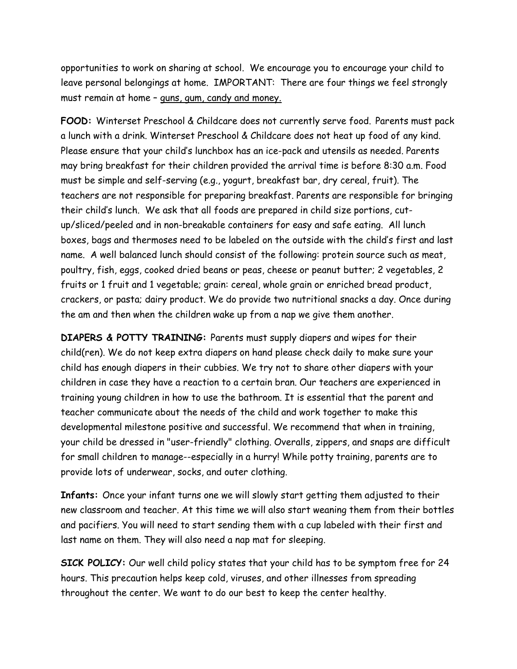opportunities to work on sharing at school. We encourage you to encourage your child to leave personal belongings at home. IMPORTANT: There are four things we feel strongly must remain at home – guns, gum, candy and money.

FOOD: Winterset Preschool & Childcare does not currently serve food. Parents must pack a lunch with a drink. Winterset Preschool & Childcare does not heat up food of any kind. Please ensure that your child's lunchbox has an ice-pack and utensils as needed. Parents may bring breakfast for their children provided the arrival time is before 8:30 a.m. Food must be simple and self-serving (e.g., yogurt, breakfast bar, dry cereal, fruit). The teachers are not responsible for preparing breakfast. Parents are responsible for bringing their child's lunch. We ask that all foods are prepared in child size portions, cutup/sliced/peeled and in non-breakable containers for easy and safe eating. All lunch boxes, bags and thermoses need to be labeled on the outside with the child's first and last name. A well balanced lunch should consist of the following: protein source such as meat, poultry, fish, eggs, cooked dried beans or peas, cheese or peanut butter; 2 vegetables, 2 fruits or 1 fruit and 1 vegetable; grain: cereal, whole grain or enriched bread product, crackers, or pasta; dairy product. We do provide two nutritional snacks a day. Once during the am and then when the children wake up from a nap we give them another.

DIAPERS & POTTY TRAINING: Parents must supply diapers and wipes for their child(ren). We do not keep extra diapers on hand please check daily to make sure your child has enough diapers in their cubbies. We try not to share other diapers with your children in case they have a reaction to a certain bran. Our teachers are experienced in training young children in how to use the bathroom. It is essential that the parent and teacher communicate about the needs of the child and work together to make this developmental milestone positive and successful. We recommend that when in training, your child be dressed in "user-friendly" clothing. Overalls, zippers, and snaps are difficult for small children to manage--especially in a hurry! While potty training, parents are to provide lots of underwear, socks, and outer clothing.

Infants: Once your infant turns one we will slowly start getting them adjusted to their new classroom and teacher. At this time we will also start weaning them from their bottles and pacifiers. You will need to start sending them with a cup labeled with their first and last name on them. They will also need a nap mat for sleeping.

SICK POLICY: Our well child policy states that your child has to be symptom free for 24 hours. This precaution helps keep cold, viruses, and other illnesses from spreading throughout the center. We want to do our best to keep the center healthy.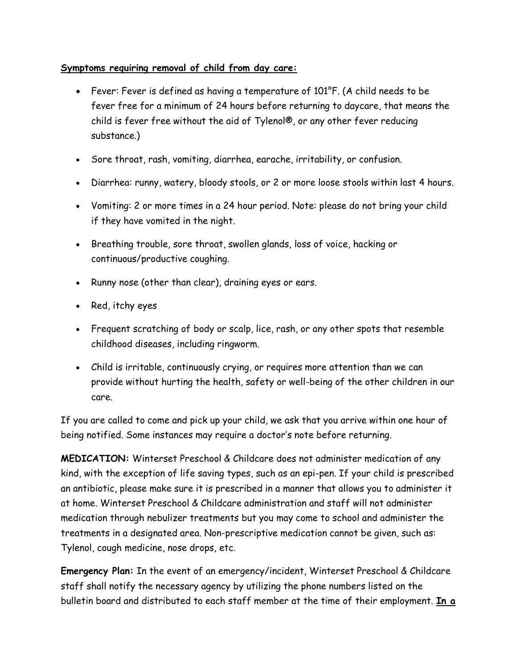#### Symptoms requiring removal of child from day care:

- Fever: Fever is defined as having a temperature of 101°F. (A child needs to be fever free for a minimum of 24 hours before returning to daycare, that means the child is fever free without the aid of Tylenol®, or any other fever reducing substance.)
- Sore throat, rash, vomiting, diarrhea, earache, irritability, or confusion.
- Diarrhea: runny, watery, bloody stools, or 2 or more loose stools within last 4 hours.
- Vomiting: 2 or more times in a 24 hour period. Note: please do not bring your child if they have vomited in the night.
- Breathing trouble, sore throat, swollen glands, loss of voice, hacking or continuous/productive coughing.
- Runny nose (other than clear), draining eyes or ears.
- Red, itchy eyes
- Frequent scratching of body or scalp, lice, rash, or any other spots that resemble childhood diseases, including ringworm.
- Child is irritable, continuously crying, or requires more attention than we can provide without hurting the health, safety or well-being of the other children in our care.

If you are called to come and pick up your child, we ask that you arrive within one hour of being notified. Some instances may require a doctor's note before returning.

MEDICATION: Winterset Preschool & Childcare does not administer medication of any kind, with the exception of life saving types, such as an epi-pen. If your child is prescribed an antibiotic, please make sure it is prescribed in a manner that allows you to administer it at home. Winterset Preschool & Childcare administration and staff will not administer medication through nebulizer treatments but you may come to school and administer the treatments in a designated area. Non-prescriptive medication cannot be given, such as: Tylenol, cough medicine, nose drops, etc.

Emergency Plan: In the event of an emergency/incident, Winterset Preschool & Childcare staff shall notify the necessary agency by utilizing the phone numbers listed on the bulletin board and distributed to each staff member at the time of their employment. In a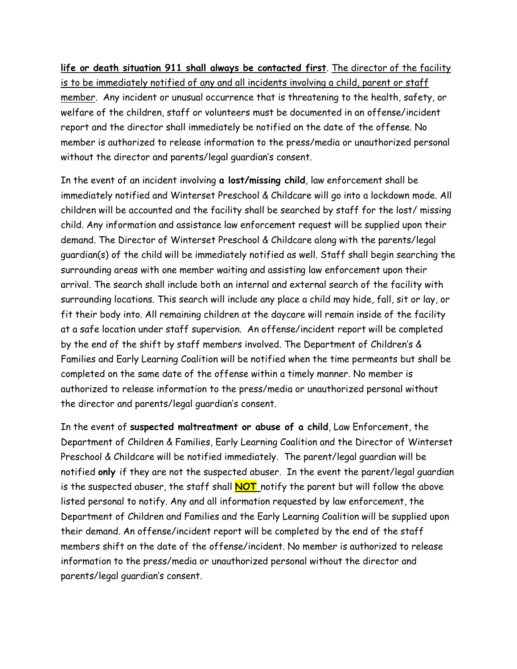life or death situation 911 shall always be contacted first. The director of the facility is to be immediately notified of any and all incidents involving a child, parent or staff member. Any incident or unusual occurrence that is threatening to the health, safety, or welfare of the children, staff or volunteers must be documented in an offense/incident report and the director shall immediately be notified on the date of the offense. No member is authorized to release information to the press/media or unauthorized personal without the director and parents/legal guardian's consent.

In the event of an incident involving a lost/missing child, law enforcement shall be immediately notified and Winterset Preschool & Childcare will go into a lockdown mode. All children will be accounted and the facility shall be searched by staff for the lost/ missing child. Any information and assistance law enforcement request will be supplied upon their demand. The Director of Winterset Preschool & Childcare along with the parents/legal guardian(s) of the child will be immediately notified as well. Staff shall begin searching the surrounding areas with one member waiting and assisting law enforcement upon their arrival. The search shall include both an internal and external search of the facility with surrounding locations. This search will include any place a child may hide, fall, sit or lay, or fit their body into. All remaining children at the daycare will remain inside of the facility at a safe location under staff supervision. An offense/incident report will be completed by the end of the shift by staff members involved. The Department of Children's & Families and Early Learning Coalition will be notified when the time permeants but shall be completed on the same date of the offense within a timely manner. No member is authorized to release information to the press/media or unauthorized personal without the director and parents/legal guardian's consent.

In the event of suspected maltreatment or abuse of a child, Law Enforcement, the Department of Children & Families, Early Learning Coalition and the Director of Winterset Preschool & Childcare will be notified immediately. The parent/legal guardian will be notified only if they are not the suspected abuser. In the event the parent/legal guardian is the suspected abuser, the staff shall  $NOT$  notify the parent but will follow the above listed personal to notify. Any and all information requested by law enforcement, the Department of Children and Families and the Early Learning Coalition will be supplied upon their demand. An offense/incident report will be completed by the end of the staff members shift on the date of the offense/incident. No member is authorized to release information to the press/media or unauthorized personal without the director and parents/legal guardian's consent.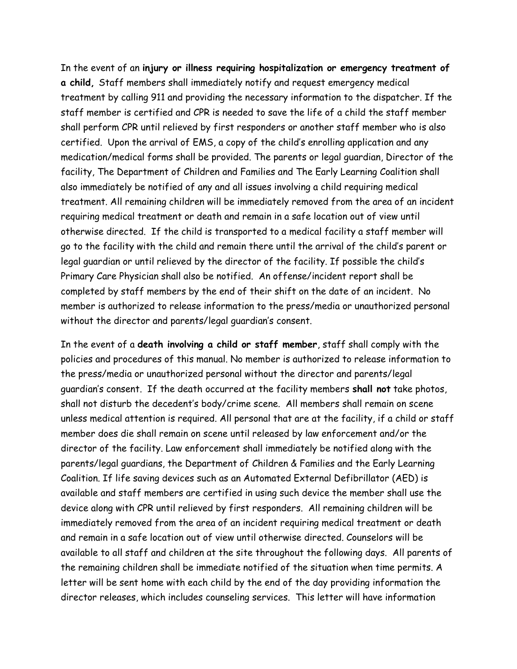In the event of an injury or illness requiring hospitalization or emergency treatment of a child, Staff members shall immediately notify and request emergency medical treatment by calling 911 and providing the necessary information to the dispatcher. If the staff member is certified and CPR is needed to save the life of a child the staff member shall perform CPR until relieved by first responders or another staff member who is also certified. Upon the arrival of EMS, a copy of the child's enrolling application and any medication/medical forms shall be provided. The parents or legal guardian, Director of the facility, The Department of Children and Families and The Early Learning Coalition shall also immediately be notified of any and all issues involving a child requiring medical treatment. All remaining children will be immediately removed from the area of an incident requiring medical treatment or death and remain in a safe location out of view until otherwise directed. If the child is transported to a medical facility a staff member will go to the facility with the child and remain there until the arrival of the child's parent or legal guardian or until relieved by the director of the facility. If possible the child's Primary Care Physician shall also be notified. An offense/incident report shall be completed by staff members by the end of their shift on the date of an incident. No member is authorized to release information to the press/media or unauthorized personal without the director and parents/legal guardian's consent.

In the event of a death involving a child or staff member, staff shall comply with the policies and procedures of this manual. No member is authorized to release information to the press/media or unauthorized personal without the director and parents/legal guardian's consent. If the death occurred at the facility members shall not take photos, shall not disturb the decedent's body/crime scene. All members shall remain on scene unless medical attention is required. All personal that are at the facility, if a child or staff member does die shall remain on scene until released by law enforcement and/or the director of the facility. Law enforcement shall immediately be notified along with the parents/legal guardians, the Department of Children & Families and the Early Learning Coalition. If life saving devices such as an Automated External Defibrillator (AED) is available and staff members are certified in using such device the member shall use the device along with CPR until relieved by first responders. All remaining children will be immediately removed from the area of an incident requiring medical treatment or death and remain in a safe location out of view until otherwise directed. Counselors will be available to all staff and children at the site throughout the following days. All parents of the remaining children shall be immediate notified of the situation when time permits. A letter will be sent home with each child by the end of the day providing information the director releases, which includes counseling services. This letter will have information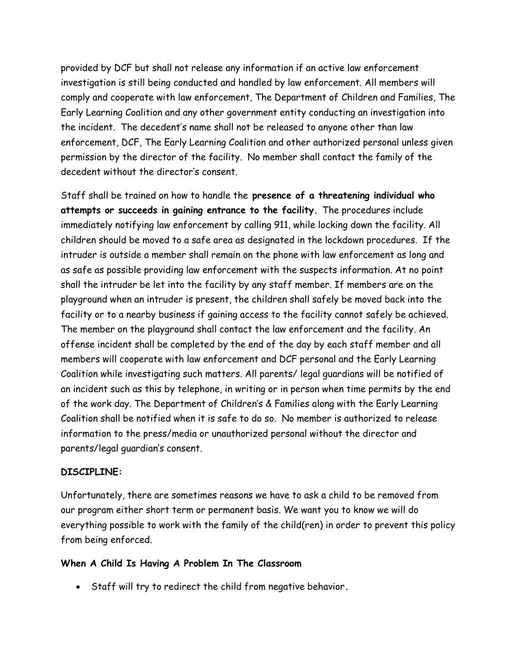provided by DCF but shall not release any information if an active law enforcement investigation is still being conducted and handled by law enforcement. All members will comply and cooperate with law enforcement, The Department of Children and Families, The Early Learning Coalition and any other government entity conducting an investigation into the incident. The decedent's name shall not be released to anyone other than law enforcement, DCF, The Early Learning Coalition and other authorized personal unless given permission by the director of the facility. No member shall contact the family of the decedent without the director's consent.

Staff shall be trained on how to handle the presence of a threatening individual who attempts or succeeds in gaining entrance to the facility. The procedures include immediately notifying law enforcement by calling 911, while locking down the facility. All children should be moved to a safe area as designated in the lockdown procedures. If the intruder is outside a member shall remain on the phone with law enforcement as long and as safe as possible providing law enforcement with the suspects information. At no point shall the intruder be let into the facility by any staff member. If members are on the playground when an intruder is present, the children shall safely be moved back into the facility or to a nearby business if gaining access to the facility cannot safely be achieved. The member on the playground shall contact the law enforcement and the facility. An offense incident shall be completed by the end of the day by each staff member and all members will cooperate with law enforcement and DCF personal and the Early Learning Coalition while investigating such matters. All parents/ legal guardians will be notified of an incident such as this by telephone, in writing or in person when time permits by the end of the work day. The Department of Children's & Families along with the Early Learning Coalition shall be notified when it is safe to do so. No member is authorized to release information to the press/media or unauthorized personal without the director and parents/legal guardian's consent.

#### DISCIPLINE:

Unfortunately, there are sometimes reasons we have to ask a child to be removed from our program either short term or permanent basis. We want you to know we will do everything possible to work with the family of the child(ren) in order to prevent this policy from being enforced.

#### When A Child Is Having A Problem In The Classroom

• Staff will try to redirect the child from negative behavior.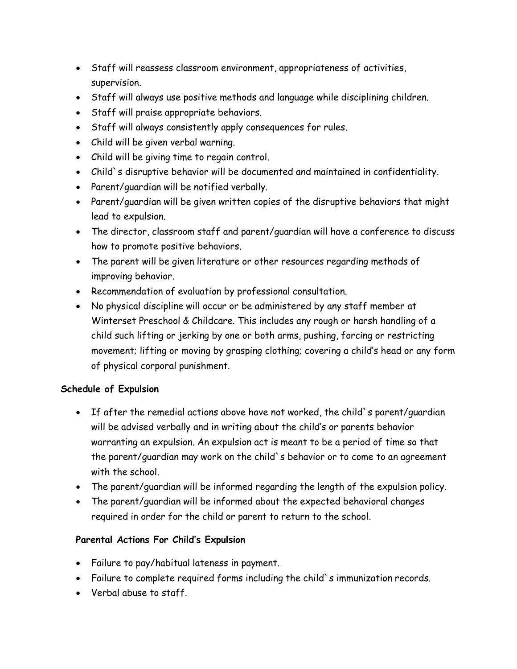- Staff will reassess classroom environment, appropriateness of activities, supervision.
- Staff will always use positive methods and language while disciplining children.
- Staff will praise appropriate behaviors.
- Staff will always consistently apply consequences for rules.
- Child will be given verbal warning.
- Child will be giving time to regain control.
- Child`s disruptive behavior will be documented and maintained in confidentiality.
- Parent/guardian will be notified verbally.
- Parent/guardian will be given written copies of the disruptive behaviors that might lead to expulsion.
- The director, classroom staff and parent/guardian will have a conference to discuss how to promote positive behaviors.
- The parent will be given literature or other resources regarding methods of improving behavior.
- Recommendation of evaluation by professional consultation.
- No physical discipline will occur or be administered by any staff member at Winterset Preschool & Childcare. This includes any rough or harsh handling of a child such lifting or jerking by one or both arms, pushing, forcing or restricting movement; lifting or moving by grasping clothing; covering a child's head or any form of physical corporal punishment.

### Schedule of Expulsion

- If after the remedial actions above have not worked, the child`s parent/guardian will be advised verbally and in writing about the child's or parents behavior warranting an expulsion. An expulsion act is meant to be a period of time so that the parent/guardian may work on the child`s behavior or to come to an agreement with the school.
- The parent/guardian will be informed regarding the length of the expulsion policy.
- The parent/guardian will be informed about the expected behavioral changes required in order for the child or parent to return to the school.

### Parental Actions For Child's Expulsion

- Failure to pay/habitual lateness in payment.
- Failure to complete required forms including the child's immunization records.
- Verbal abuse to staff.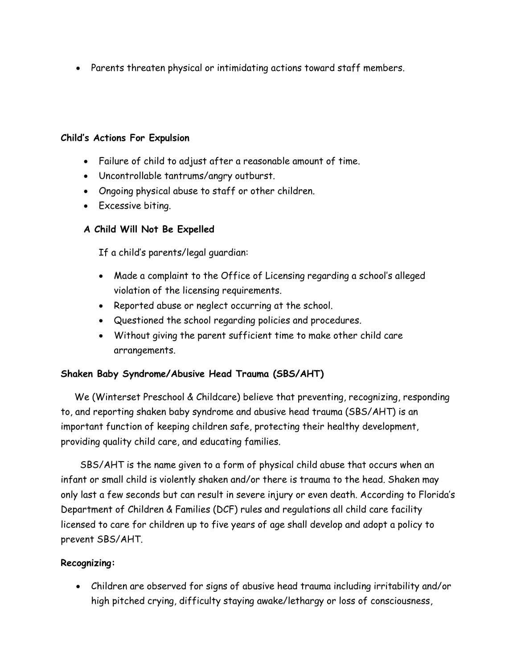Parents threaten physical or intimidating actions toward staff members.

#### Child's Actions For Expulsion

- Failure of child to adjust after a reasonable amount of time.
- Uncontrollable tantrums/angry outburst.
- Ongoing physical abuse to staff or other children.
- Excessive biting.

#### A Child Will Not Be Expelled

If a child's parents/legal guardian:

- Made a complaint to the Office of Licensing regarding a school's alleged violation of the licensing requirements.
- Reported abuse or neglect occurring at the school.
- Questioned the school regarding policies and procedures.
- Without giving the parent sufficient time to make other child care arrangements.

### Shaken Baby Syndrome/Abusive Head Trauma (SBS/AHT)

 We (Winterset Preschool & Childcare) believe that preventing, recognizing, responding to, and reporting shaken baby syndrome and abusive head trauma (SBS/AHT) is an important function of keeping children safe, protecting their healthy development, providing quality child care, and educating families.

 SBS/AHT is the name given to a form of physical child abuse that occurs when an infant or small child is violently shaken and/or there is trauma to the head. Shaken may only last a few seconds but can result in severe injury or even death. According to Florida's Department of Children & Families (DCF) rules and regulations all child care facility licensed to care for children up to five years of age shall develop and adopt a policy to prevent SBS/AHT.

#### Recognizing:

 Children are observed for signs of abusive head trauma including irritability and/or high pitched crying, difficulty staying awake/lethargy or loss of consciousness,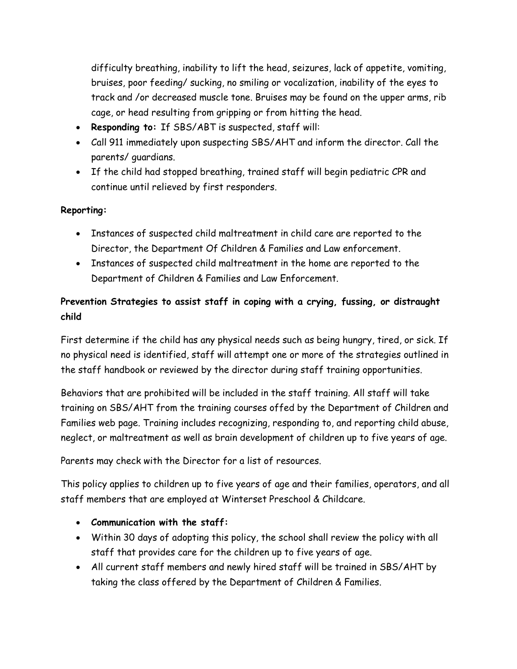difficulty breathing, inability to lift the head, seizures, lack of appetite, vomiting, bruises, poor feeding/ sucking, no smiling or vocalization, inability of the eyes to track and /or decreased muscle tone. Bruises may be found on the upper arms, rib cage, or head resulting from gripping or from hitting the head.

- Responding to: If SBS/ABT is suspected, staff will:
- Call 911 immediately upon suspecting SBS/AHT and inform the director. Call the parents/ guardians.
- If the child had stopped breathing, trained staff will begin pediatric CPR and continue until relieved by first responders.

#### Reporting:

- Instances of suspected child maltreatment in child care are reported to the Director, the Department Of Children & Families and Law enforcement.
- Instances of suspected child maltreatment in the home are reported to the Department of Children & Families and Law Enforcement.

### Prevention Strategies to assist staff in coping with a crying, fussing, or distraught child

First determine if the child has any physical needs such as being hungry, tired, or sick. If no physical need is identified, staff will attempt one or more of the strategies outlined in the staff handbook or reviewed by the director during staff training opportunities.

Behaviors that are prohibited will be included in the staff training. All staff will take training on SBS/AHT from the training courses offed by the Department of Children and Families web page. Training includes recognizing, responding to, and reporting child abuse, neglect, or maltreatment as well as brain development of children up to five years of age.

Parents may check with the Director for a list of resources.

This policy applies to children up to five years of age and their families, operators, and all staff members that are employed at Winterset Preschool & Childcare.

- Communication with the staff:
- Within 30 days of adopting this policy, the school shall review the policy with all staff that provides care for the children up to five years of age.
- All current staff members and newly hired staff will be trained in SBS/AHT by taking the class offered by the Department of Children & Families.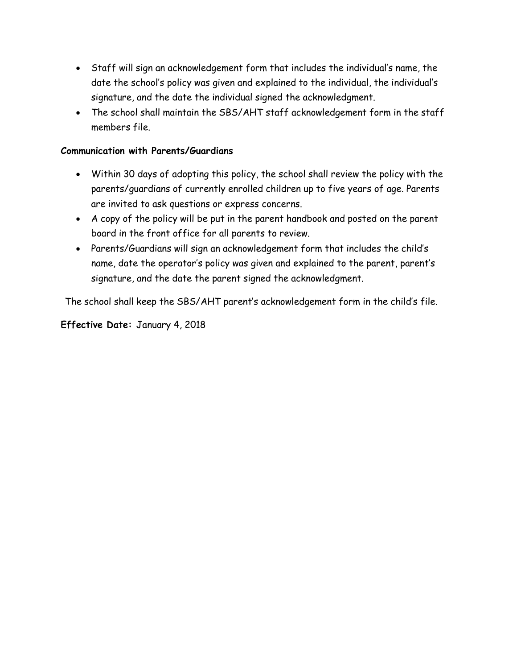- Staff will sign an acknowledgement form that includes the individual's name, the date the school's policy was given and explained to the individual, the individual's signature, and the date the individual signed the acknowledgment.
- The school shall maintain the SBS/AHT staff acknowledgement form in the staff members file.

#### Communication with Parents/Guardians

- Within 30 days of adopting this policy, the school shall review the policy with the parents/guardians of currently enrolled children up to five years of age. Parents are invited to ask questions or express concerns.
- A copy of the policy will be put in the parent handbook and posted on the parent board in the front office for all parents to review.
- Parents/Guardians will sign an acknowledgement form that includes the child's name, date the operator's policy was given and explained to the parent, parent's signature, and the date the parent signed the acknowledgment.

The school shall keep the SBS/AHT parent's acknowledgement form in the child's file.

#### Effective Date: January 4, 2018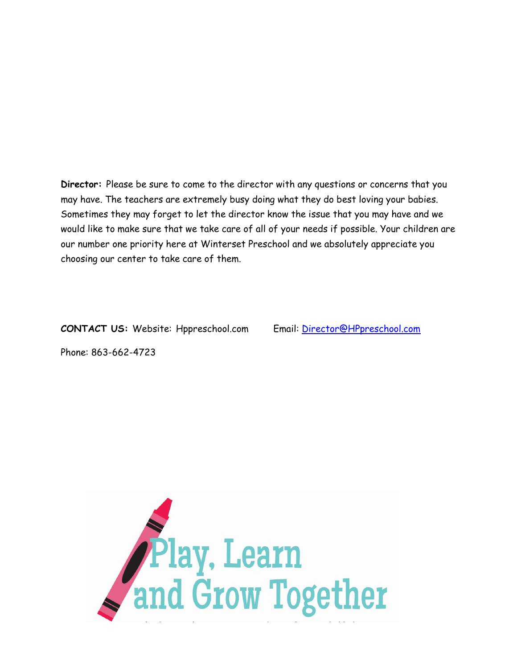Director: Please be sure to come to the director with any questions or concerns that you may have. The teachers are extremely busy doing what they do best loving your babies. Sometimes they may forget to let the director know the issue that you may have and we would like to make sure that we take care of all of your needs if possible. Your children are our number one priority here at Winterset Preschool and we absolutely appreciate you choosing our center to take care of them.

CONTACT US: Website: Hppreschool.com Email: Director@HPpreschool.com

Phone: 863-662-4723